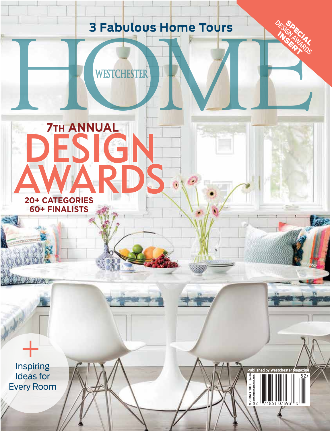# **3 Fabulous Home Tours**

**SPRING 2018** \$4.99 westchestermagazine.com

**Published by Westchester Magazine<br>
3. September 2014<br>
2. September 2014<br>
2. September 2014<br>
2. September 2014<br>
2. September 2014<br>
2. September 2014<br>
2. September 2014<br>
3. September 2014<br>
3. September 2014<br>
3. September 20** 

DESIDECTAL SPECIAL

INSERT



+<br>Inspiring Ideas for Every Room

ال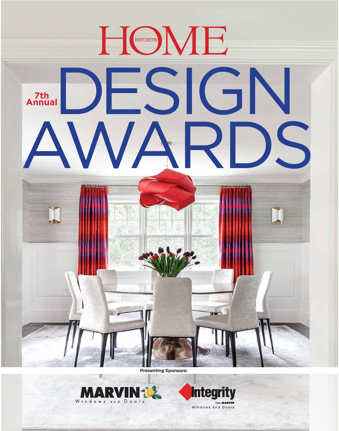



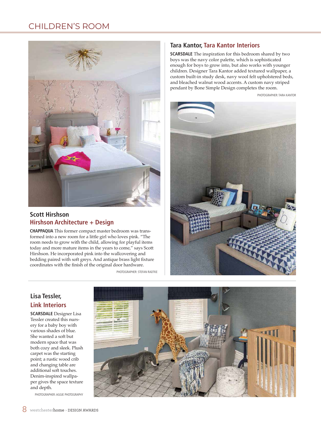## CHILDREN'S ROOM



### **Scott Hirshson Hirshson Architecture + Design**

**CHAPPAQUA** This former compact master bedroom was transformed into a new room for a little girl who loves pink. "The room needs to grow with the child, allowing for playful items today and more mature items in the years to come," says Scott Hirshson. He incorporated pink into the wallcovering and bedding paired with soft greys. And antique brass light fixture coordinates with the finish of the original door hardware.

PHOTOGRAPHER: STEFAN RADTKE

#### **Tara Kantor, Tara Kantor Interiors**

**SCARSDALE** The inspiration for this bedroom shared by two boys was the navy color palette, which is sophisticated enough for boys to grow into, but also works with younger children. Designer Tara Kantor added textured wallpaper, a custom built-in study desk, navy wool felt upholstered beds, and bleached walnut wood accents. A custom navy striped pendant by Bone Simple Design completes the room.

PHOTOGRAPHER: TARA KANTOR



### **Lisa Tessler, Link Interiors**

**SCARSDALE** Designer Lisa Tessler created this nursery for a baby boy with various shades of blue. She wanted a soft but modern space that was both cozy and sleek. Plush carpet was the starting point; a rustic wood crib and changing table are additional soft touches. Denim-inspired wallpaper gives the space texture and depth.

PHOTOGRAPHER: AGGIE PHOTOGRAPHY